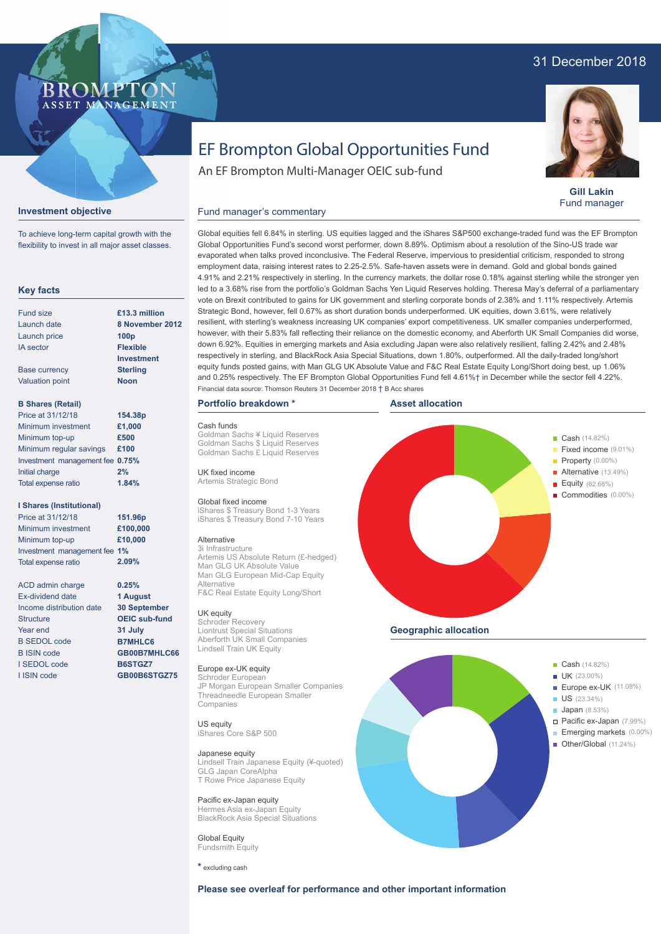## 31 December 2018



**Gill Lakin** Fund manager

Fixed income (9.01%)

# EF Brompton Global Opportunities Fund

An EF Brompton Multi-Manager OEIC sub-fund

## Fund manager's commentary

**£13.3 million**

Launch price IA sector Base currency Valuation point **B Shares (Retail)** Minimum investment Minimum top-up Minimum regular savings **£100** Investment management fee **0.75%** Initial charge Total expense ratio **I Shares (Institutional)** Minimum investment Minimum top-up Investment management fee **1% 100p Flexible Investment Sterling Noon £1,000 £500 2% £100,000 £10,000 154.38p 151.96p** Price at 31/12/18 Price at 31/12/18 **1.84%**

> **0.25% 1 August 30 September OEIC sub-fund 31 July B7MHLC6 GB00B7MHLC66 B6STGZ7 GB00B6STGZ75**

**2.09%**

**Investment objective**

**Key facts**

Fund size Launch date

To achieve long-term capital growth with the flexibility to invest in all major asset classes.

BROMP"

ASSET MANAGEMENT

ACD admin charge Ex-dividend date Income distribution date **Structure** Year end B SEDOL code B ISIN code I SEDOL code I ISIN code

Total expense ratio

evaporated when talks proved inconclusive. The Federal Reserve, impervious to presidential criticism, responded to strong employment data, raising interest rates to 2.25-2.5%. Safe-haven assets were in demand. Gold and global bonds gained 4.91% and 2.21% respectively in sterling. In the currency markets, the dollar rose 0.18% against sterling while the stronger yen led to a 3.68% rise from the portfolio's Goldman Sachs Yen Liquid Reserves holding. Theresa May's deferral of a parliamentary vote on Brexit contributed to gains for UK government and sterling corporate bonds of 2.38% and 1.11% respectively. Artemis Strategic Bond, however, fell 0.67% as short duration bonds underperformed. UK equities, down 3.61%, were relatively resilient, with sterling's weakness increasing UK companies' export competitiveness. UK smaller companies underperformed, however, with their 5.83% fall reflecting their reliance on the domestic economy, and Aberforth UK Small Companies did worse, down 6.92%. Equities in emerging markets and Asia excluding Japan were also relatively resilient, falling 2.42% and 2.48% respectively in sterling, and BlackRock Asia Special Situations, down 1.80%, outperformed. All the daily-traded long/short equity funds posted gains, with Man GLG UK Absolute Value and F&C Real Estate Equity Long/Short doing best, up 1.06% and 0.25% respectively. The EF Brompton Global Opportunities Fund fell 4.61%† in December while the sector fell 4.22%. **8 November 2012** Financial data source: Thomson Reuters 31 December 2018 † B Acc shares

#### **Portfolio breakdown \***

## Cash funds

Goldman Sachs ¥ Liquid Reserves Goldman Sachs \$ Liquid Reserves Goldman Sachs £ Liquid Reserves

UK fixed income Artemis Strategic Bond

## Global fixed income

iShares \$ Treasury Bond 1-3 Years iShares \$ Treasury Bond 7-10 Years

### Alternative

3i Infrastructure Artemis US Absolute Return (£-hedged) Man GLG UK Absolute Value Man GLG European Mid-Cap Equity Alternative F&C Real Estate Equity Long/Short

## UK equity

Schroder Recovery Liontrust Special Situations Aberforth UK Small Companies Lindsell Train UK Equity

### Europe ex-UK equity

Schroder European JP Morgan European Smaller Companies Threadneedle European Smaller Companies

#### US equity iShares Core S&P 500

Japanese equity

Lindsell Train Japanese Equity (¥-quoted) GLG Japan CoreAlpha T Rowe Price Japanese Equity

#### Pacific ex-Japan equity lermes Asia ex-Japan Equity BlackRock Asia Special Situations

**Global Equity** Fundsmith Equity

**\*** excluding cash





## **Asset allocation**

Global equities fell 6.84% in sterling. US equities lagged and the iShares S&P500 exchange-traded fund was the EF Brompton Global Opportunities Fund's second worst performer, down 8.89%. Optimism about a resolution of the Sino-US trade war

> **Property** (0.00%) Alternative (13.49%) Equity (62.68%) Commodities (0.00%) **Geographic allocation**

**Example 2018** Cash (14.82%)